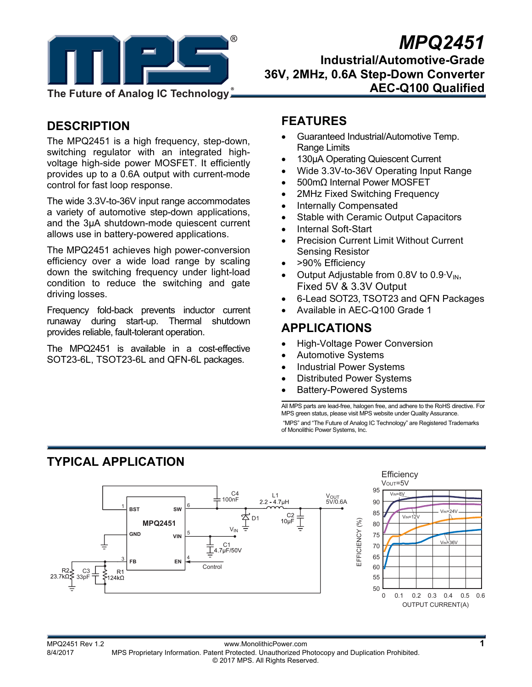

# **8** *MPQ2451*

**Industrial/Automotive-Grade 36V, 2MHz, 0.6A Step-Down Converter AEC-Q100 Qualified** 

### **DESCRIPTION**

The MPQ2451 is a high frequency, step-down, switching regulator with an integrated highvoltage high-side power MOSFET. It efficiently provides up to a 0.6A output with current-mode control for fast loop response.

The wide 3.3V-to-36V input range accommodates a variety of automotive step-down applications, and the 3μA shutdown-mode quiescent current allows use in battery-powered applications.

The MPQ2451 achieves high power-conversion efficiency over a wide load range by scaling down the switching frequency under light-load condition to reduce the switching and gate driving losses.

Frequency fold-back prevents inductor current runaway during start-up. Thermal shutdown provides reliable, fault-tolerant operation.

The MPQ2451 is available in a cost-effective SOT23-6L, TSOT23-6L and QFN-6L packages.

### **FEATURES**

- Guaranteed Industrial/Automotive Temp. Range Limits
- 130µA Operating Quiescent Current
- Wide 3.3V-to-36V Operating Input Range
- 500mΩ Internal Power MOSFET
- 2MHz Fixed Switching Frequency
- Internally Compensated
- Stable with Ceramic Output Capacitors
- Internal Soft-Start
- Precision Current Limit Without Current Sensing Resistor
- >90% Efficiency
- Output Adjustable from 0.8V to  $0.9 \,$ V<sub>IN</sub>, Fixed 5V & 3.3V Output
- 6-Lead SOT23, TSOT23 and QFN Packages
- Available in AEC-Q100 Grade 1

### **APPLICATIONS**

- High-Voltage Power Conversion
- Automotive Systems
- Industrial Power Systems
- Distributed Power Systems
- Battery-Powered Systems

All MPS parts are lead-free, halogen free, and adhere to the RoHS directive. For MPS green status, please visit MPS website under Quality Assurance. "MPS" and "The Future of Analog IC Technology" are Registered Trademarks of Monolithic Power Systems, Inc.

## **TYPICAL APPLICATION**

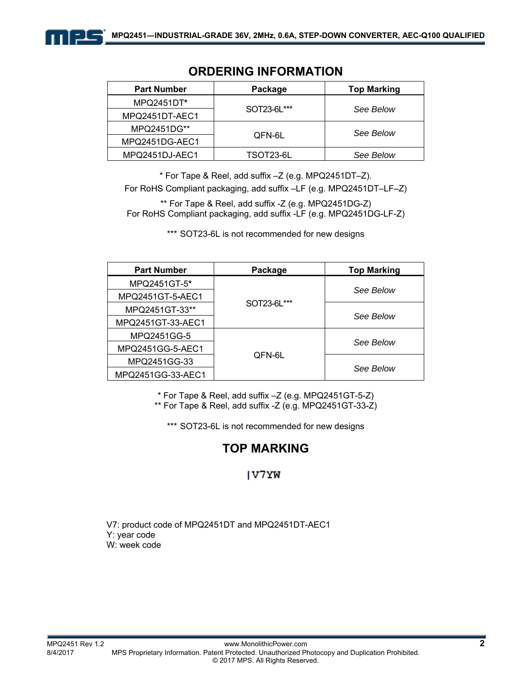

### **ORDERING INFORMATION**

\* For Tape & Reel, add suffix –Z (e.g. MPQ2451DT–Z). For RoHS Compliant packaging, add suffix –LF (e.g. MPQ2451DT–LF–Z)

\*\* For Tape & Reel, add suffix -Z (e.g. MPQ2451DG-Z) For RoHS Compliant packaging, add suffix -LF (e.g. MPQ2451DG-LF-Z)

\*\*\* SOT23-6L is not recommended for new designs

| <b>Part Number</b> | Package     | <b>Top Marking</b> |  |
|--------------------|-------------|--------------------|--|
| MPQ2451GT-5*       |             |                    |  |
| MPQ2451GT-5-AEC1   |             | See Below          |  |
| MPQ2451GT-33**     | SOT23-6L*** |                    |  |
| MPQ2451GT-33-AEC1  |             | See Below          |  |
| MPQ2451GG-5        |             |                    |  |
| MPQ2451GG-5-AEC1   |             | See Below          |  |
| MPQ2451GG-33       | QFN-6L      |                    |  |
| MPQ2451GG-33-AEC1  |             | See Below          |  |

\* For Tape & Reel, add suffix –Z (e.g. MPQ2451GT-5-Z)

\*\* For Tape & Reel, add suffix -Z (e.g. MPQ2451GT-33-Z)

\*\*\* SOT23-6L is not recommended for new designs

### **TOP MARKING**

### **IV7YW**

V7: product code of MPQ2451DT and MPQ2451DT-AEC1 Y: year code W: week code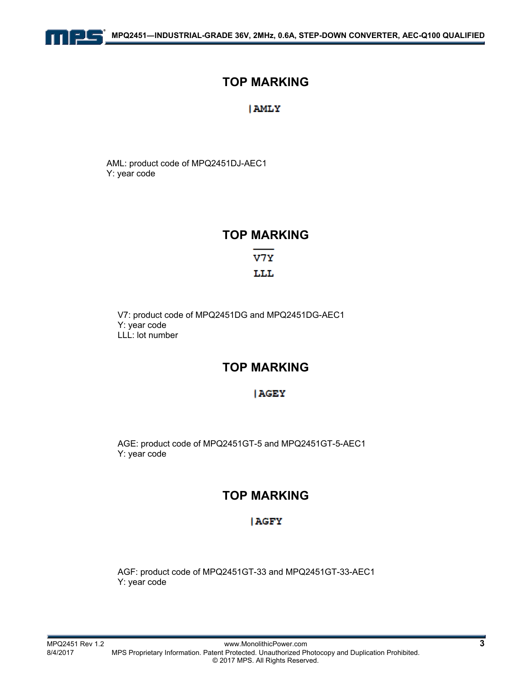

### **TOP MARKING**

#### **AMLY**

AML: product code of MPQ2451DJ-AEC1 Y: year code

### **TOP MARKING**

V7Y LLL

V7: product code of MPQ2451DG and MPQ2451DG-AEC1 Y: year code LLL: lot number

### **TOP MARKING**

#### **AGEY**

AGE: product code of MPQ2451GT-5 and MPQ2451GT-5-AEC1 Y: year code

### **TOP MARKING**

#### **AGFY**

AGF: product code of MPQ2451GT-33 and MPQ2451GT-33-AEC1 Y: year code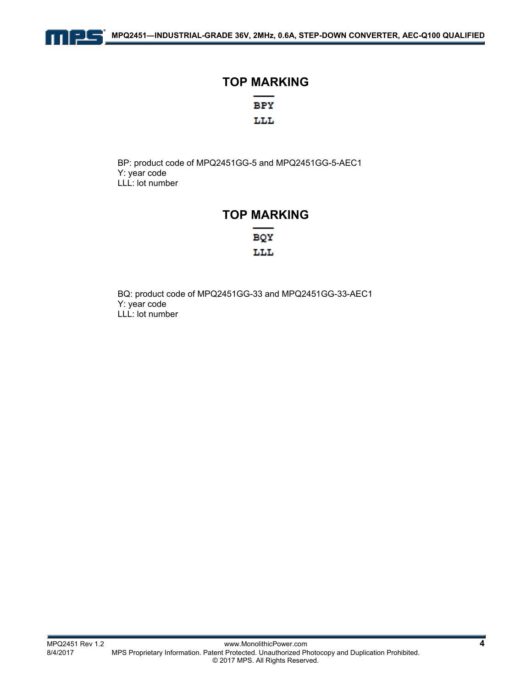

## **TOP MARKING BPY** LLL

BP: product code of MPQ2451GG-5 and MPQ2451GG-5-AEC1

Y: year code LLL: lot number

### **TOP MARKING**

BQY LLL

BQ: product code of MPQ2451GG-33 and MPQ2451GG-33-AEC1 Y: year code LLL: lot number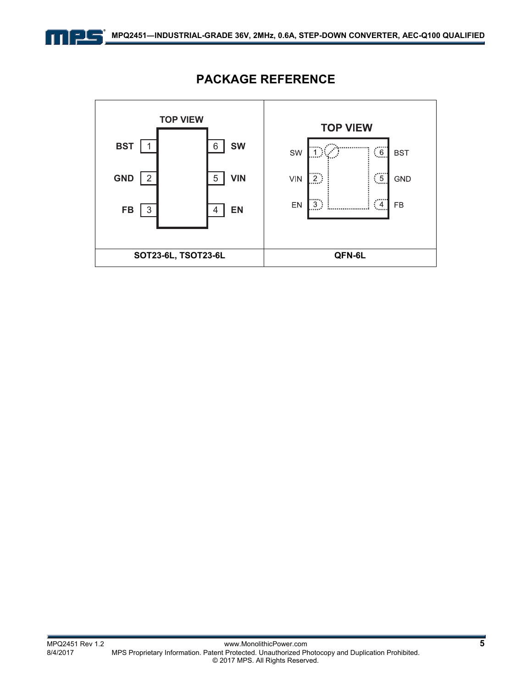



### **PACKAGE REFERENCE**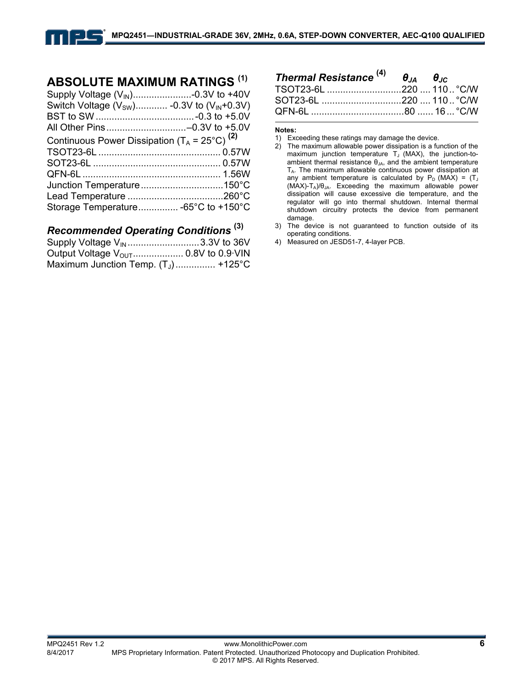### **ABSOLUTE MAXIMUM RATINGS (1)**

| Switch Voltage $(V_{SW})$ -0.3V to $(V_{IN}+0.3V)$       |  |
|----------------------------------------------------------|--|
|                                                          |  |
| Continuous Power Dissipation $(T_A = 25^{\circ}C)^{(2)}$ |  |
|                                                          |  |
|                                                          |  |
|                                                          |  |
|                                                          |  |
|                                                          |  |
| Storage Temperature -65°C to +150°C                      |  |

### *Recommended Operating Conditions* **(3)**

| Supply Voltage V <sub>IN</sub> 3.3V to 36V |  |
|--------------------------------------------|--|
|                                            |  |
| Maximum Junction Temp. $(T_J)$ +125°C      |  |

| Thermal Resistance $^{(4)}$ $\theta_{JA}$ $\theta_{JC}$ |  |
|---------------------------------------------------------|--|
| TSOT23-6L 220  110  °C/W                                |  |
| SOT23-6L 220  110  °C/W                                 |  |
|                                                         |  |

#### **Notes:**

- 2) The maximum allowable power dissipation is a function of the maximum junction temperature  $T_J$  (MAX), the junction-toambient thermal resistance  $\theta_{JA}$ , and the ambient temperature  $T_A$ . The maximum allowable continuous power dissipation at any ambient temperature is calculated by  $P_D$  (MAX) = (T<sub>J</sub>  $(MAX)-T_A)/\theta_{JA}$ . Exceeding the maximum allowable power dissipation will cause excessive die temperature, and the regulator will go into thermal shutdown. Internal thermal shutdown circuitry protects the device from permanent damage.
- 3) The device is not guaranteed to function outside of its operating conditions.
- 4) Measured on JESD51-7, 4-layer PCB.

<sup>1)</sup> Exceeding these ratings may damage the device.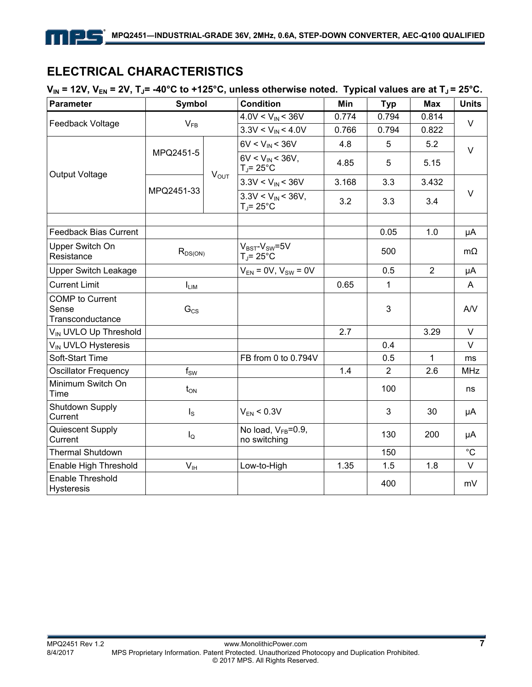### **ELECTRICAL CHARACTERISTICS**

三上三

 $V_{IN}$  = 12V,  $V_{EN}$  = 2V,  $T_{J}$ = -40°C to +125°C, unless otherwise noted. Typical values are at  $T_{J}$  = 25°C.

| <b>Parameter</b>                                    | <b>Symbol</b>    |           | <b>Condition</b>                          | Min   | <b>Typ</b>     | <b>Max</b>     | <b>Units</b> |
|-----------------------------------------------------|------------------|-----------|-------------------------------------------|-------|----------------|----------------|--------------|
|                                                     | $V_{FB}$         |           | $4.0V < V_{IN} < 36V$                     | 0.774 | 0.794          | 0.814          | $\vee$       |
| Feedback Voltage                                    |                  |           | $3.3V < V_{IN} < 4.0V$                    | 0.766 | 0.794          | 0.822          |              |
|                                                     |                  | $V_{OUT}$ | $6V < V_{IN} < 36V$                       | 4.8   | 5              | 5.2            | $\vee$       |
| Output Voltage                                      | MPQ2451-5        |           | $6V < V_{IN} < 36V$ ,<br>$T_{J}$ = 25°C   | 4.85  | 5              | 5.15           |              |
|                                                     |                  |           | $3.3V < V_{IN} < 36V$                     | 3.168 | 3.3            | 3.432          |              |
|                                                     | MPQ2451-33       |           | $3.3V < V_{IN} < 36V$ ,<br>$T_{J}$ = 25°C | 3.2   | 3.3            | 3.4            | $\vee$       |
|                                                     |                  |           |                                           |       |                |                |              |
| <b>Feedback Bias Current</b>                        |                  |           |                                           |       | 0.05           | 1.0            | μA           |
| Upper Switch On<br>Resistance                       | $R_{DS(ON)}$     |           | $V_{BST}$ - $V_{SW}$ =5V<br>T」= 25°C      |       | 500            |                | $m\Omega$    |
| <b>Upper Switch Leakage</b>                         |                  |           | $V_{EN} = 0V$ , $V_{SW} = 0V$             |       | 0.5            | $\overline{2}$ | μA           |
| <b>Current Limit</b>                                | $I_{LIM}$        |           |                                           | 0.65  | 1              |                | A            |
| <b>COMP</b> to Current<br>Sense<br>Transconductance | $G_{CS}$         |           |                                           |       | 3              |                | AV           |
| V <sub>IN</sub> UVLO Up Threshold                   |                  |           |                                           | 2.7   |                | 3.29           | V            |
| V <sub>IN</sub> UVLO Hysteresis                     |                  |           |                                           |       | 0.4            |                | V            |
| Soft-Start Time                                     |                  |           | FB from 0 to 0.794V                       |       | 0.5            | 1              | ms           |
| <b>Oscillator Frequency</b>                         | $f_{SW}$         |           |                                           | 1.4   | $\overline{2}$ | 2.6            | <b>MHz</b>   |
| Minimum Switch On<br>Time                           | $t_{ON}$         |           |                                           |       | 100            |                | ns           |
| Shutdown Supply<br>Current                          | $I_{\rm S}$      |           | $V_{FN}$ < 0.3V                           |       | 3              | 30             | μA           |
| Quiescent Supply<br>Current                         | $I_{\mathsf{Q}}$ |           | No load, $V_{FB} = 0.9$ ,<br>no switching |       | 130            | 200            | μA           |
| <b>Thermal Shutdown</b>                             |                  |           |                                           |       | 150            |                | $^{\circ}C$  |
| Enable High Threshold                               | V <sub>IH</sub>  |           | Low-to-High                               | 1.35  | 1.5            | 1.8            | V            |
| Enable Threshold<br><b>Hysteresis</b>               |                  |           |                                           |       | 400            |                | mV           |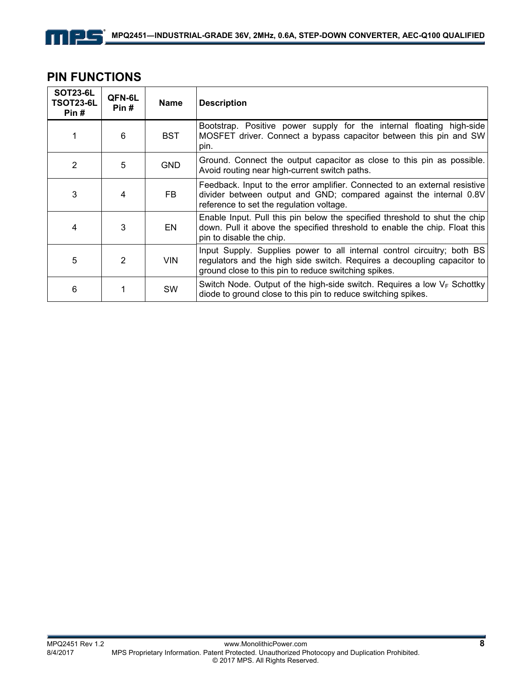### **PIN FUNCTIONS**

| <b>SOT23-6L</b><br>TSOT23-6L<br>Pin# | QFN-6L<br>Pin# | <b>Name</b> | <b>Description</b>                                                                                                                                                                                         |
|--------------------------------------|----------------|-------------|------------------------------------------------------------------------------------------------------------------------------------------------------------------------------------------------------------|
|                                      | 6              | <b>BST</b>  | Bootstrap. Positive power supply for the internal floating high-side<br>MOSFET driver. Connect a bypass capacitor between this pin and SW<br>pin.                                                          |
| 2                                    | 5              | <b>GND</b>  | Ground. Connect the output capacitor as close to this pin as possible.<br>Avoid routing near high-current switch paths.                                                                                    |
| 3                                    | 4              | FB.         | Feedback. Input to the error amplifier. Connected to an external resistive<br>divider between output and GND; compared against the internal 0.8V<br>reference to set the regulation voltage.               |
| 4                                    | 3              | <b>EN</b>   | Enable Input. Pull this pin below the specified threshold to shut the chip<br>down. Pull it above the specified threshold to enable the chip. Float this<br>pin to disable the chip.                       |
| 5                                    | $\mathfrak{p}$ | <b>VIN</b>  | Input Supply. Supplies power to all internal control circuitry; both BS<br>regulators and the high side switch. Requires a decoupling capacitor to<br>ground close to this pin to reduce switching spikes. |
| 6                                    |                | SW          | Switch Node. Output of the high-side switch. Requires a low $V_F$ Schottky<br>diode to ground close to this pin to reduce switching spikes.                                                                |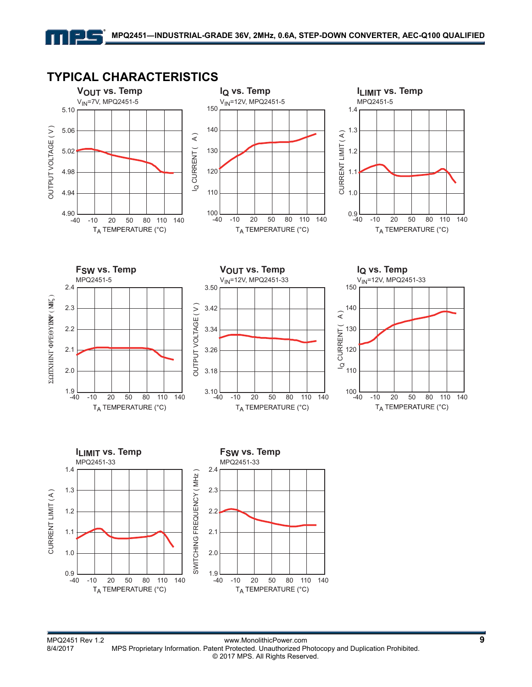

### **TYPICAL CHARACTERISTICS**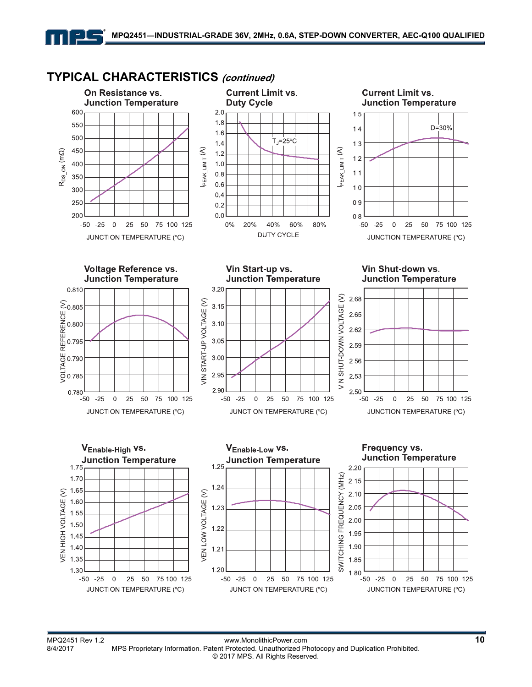#### **Current Limit vs. Current Limit vs.** On Resistance vs. **Junction Temperature Duty Cycle Junction Temperature** 600  $2.0$  $1.5$  $1.8$ 550 D=30%  $1.4$  $1.6$ 500 ้⊤<sub>J</sub>=25°C่  $1.4$  $1.3$ PEAK\_LIMIT (A)  $PEAK_LIMIT(A)$  $R_{DS\_ON}$  (m $\Omega$ ) 450  $1.2$  $1.2$  $1.0$ 400  $1.1$  $0.8$ 350  $0.6$  $1.0$ 300  $0.4$  $250$  $0.9$  $0.2$ 200  $0.0$  $0.8$  $0\%$ 20% 40% 60% 80%  $-50 -25$  $-50 - 25$  $\,0\,$ 25 50 75 100 125  $\boldsymbol{0}$ 25 50 75 100 125 **DUTY CYCLE** JUNCTION TEMPERATURE (°C) JUNCTION TEMPERATURE (°C) **Voltage Reference vs.** Vin Start-up vs. Vin Shut-down vs. **Junction Temperature Junction Temperature Junction Temperature** 3.20 0.810 SHUT-DOWN VOLTAGE (V) 2.68 VIN START-UP VOLTAGE (V) ○<br>0.805<br>0.800<br>0.795<br>0.785<br>0.785  $3.15$ 2.65  $3.10$ 2.62 3.05 2.59 3.00 2.56 2.95 2.53  $\frac{1}{2}$ 2.90 2.50 0.780  $-25$  $-50$  $\mathbf 0$ 25 50 75 100 125  $-50 - 25$  $\overline{0}$ 25 50 75 100 125  $-50 - 25$  $\mathbf 0$ 25 50 75 100 125 JUNCTION TEMPERATURE (°C) JUNCTION TEMPERATURE (°C) JUNCTION TEMPERATURE (°C) VEnable-High VS. VEnable-Low VS. Frequency vs. **Junction Temperature Junction Temperature Junction Temperature**  $1.25$  $1.75$  $2.20$ SWITCHING FREQUENCY (MHZ) 1.70  $2.15$ 1.24 /EN HIGH VOLTAGE (V) 1.65 /EN LOW VOLTAGE (V)  $2.10$ 1.60 2.05 1.23 1.55  $2,00$ 1.50  $1.22$ 1.95  $1.45$ 1.90  $1.40$  $1.21$ 1.35 1.85 1.20 1.30 1.80 75 100 125  $-50$  -25 25 50 75 100 125  $-50$  $-25$  $\overline{0}$ 25 50 75 100 125  $-50 - 25$  $\overline{0}$ 25 50  $\overline{0}$ JUNCTION TEMPERATURE (°C) JUNCTION TEMPERATURE (°C) JUNCTION TEMPERATURE (°C)

### **TYPICAL CHARACTERISTICS (continued)**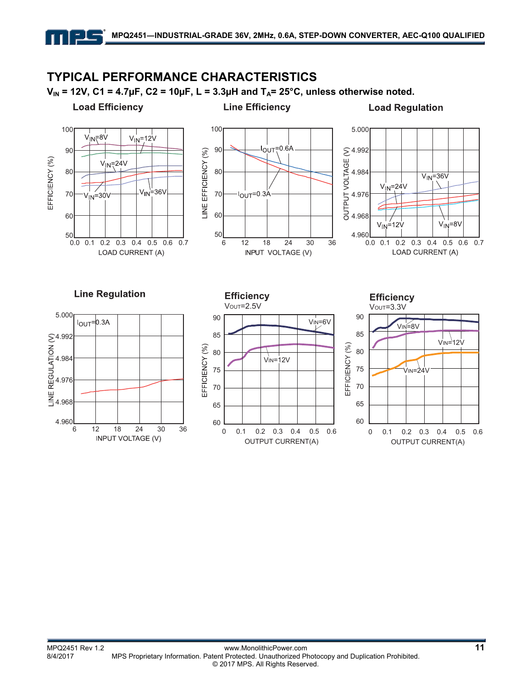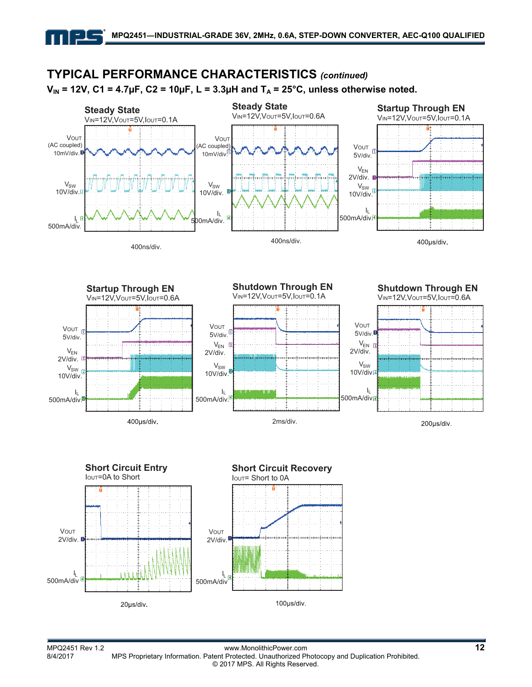

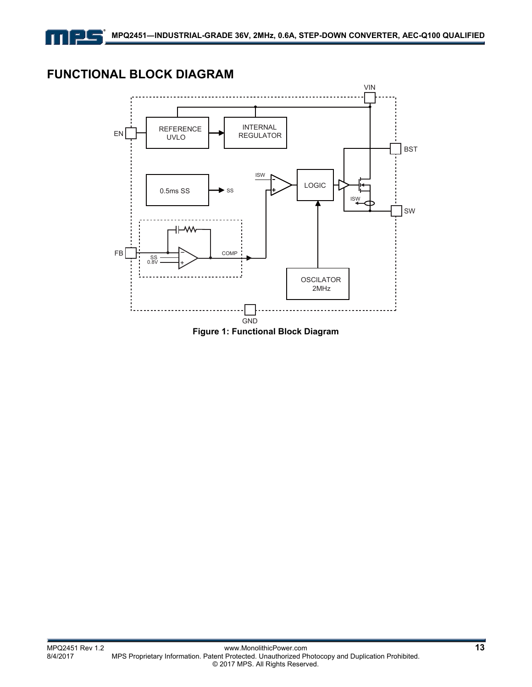### **FUNCTIONAL BLOCK DIAGRAM**

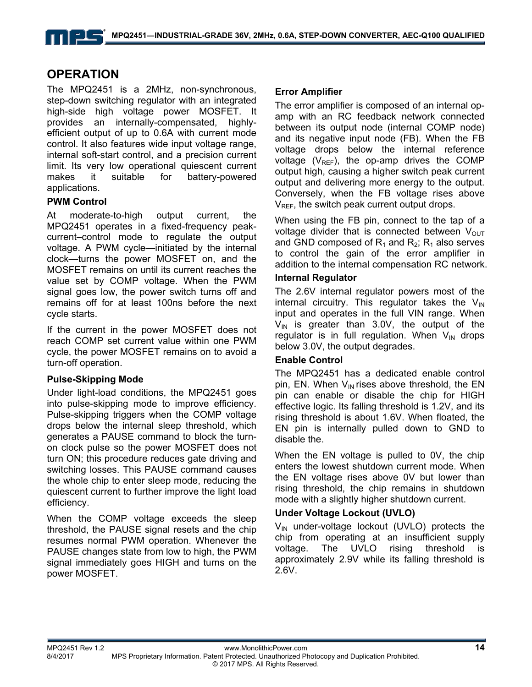### **OPERATION**

The MPQ2451 is a 2MHz, non-synchronous, step-down switching regulator with an integrated high-side high voltage power MOSFET. It provides an internally-compensated, highlyefficient output of up to 0.6A with current mode control. It also features wide input voltage range, internal soft-start control, and a precision current limit. Its very low operational quiescent current makes it suitable for battery-powered applications.

#### **PWM Control**

At moderate-to-high output current, the MPQ2451 operates in a fixed-frequency peakcurrent–control mode to regulate the output voltage. A PWM cycle—initiated by the internal clock—turns the power MOSFET on, and the MOSFET remains on until its current reaches the value set by COMP voltage. When the PWM signal goes low, the power switch turns off and remains off for at least 100ns before the next cycle starts.

If the current in the power MOSFET does not reach COMP set current value within one PWM cycle, the power MOSFET remains on to avoid a turn-off operation.

#### **Pulse-Skipping Mode**

Under light-load conditions, the MPQ2451 goes into pulse-skipping mode to improve efficiency. Pulse-skipping triggers when the COMP voltage drops below the internal sleep threshold, which generates a PAUSE command to block the turnon clock pulse so the power MOSFET does not turn ON; this procedure reduces gate driving and switching losses. This PAUSE command causes the whole chip to enter sleep mode, reducing the quiescent current to further improve the light load efficiency.

When the COMP voltage exceeds the sleep threshold, the PAUSE signal resets and the chip resumes normal PWM operation. Whenever the PAUSE changes state from low to high, the PWM signal immediately goes HIGH and turns on the power MOSFET.

#### **Error Amplifier**

The error amplifier is composed of an internal opamp with an RC feedback network connected between its output node (internal COMP node) and its negative input node (FB). When the FB voltage drops below the internal reference voltage ( $V_{REF}$ ), the op-amp drives the COMP output high, causing a higher switch peak current output and delivering more energy to the output. Conversely, when the FB voltage rises above  $V_{REF}$ , the switch peak current output drops.

When using the FB pin, connect to the tap of a voltage divider that is connected between  $V_{\text{OUT}}$ and GND composed of  $R_1$  and  $R_2$ ;  $R_1$  also serves to control the gain of the error amplifier in addition to the internal compensation RC network.

#### **Internal Regulator**

The 2.6V internal regulator powers most of the internal circuitry. This regulator takes the  $V_{\text{IN}}$ input and operates in the full VIN range. When  $V_{IN}$  is greater than 3.0V, the output of the regulator is in full regulation. When  $V_{IN}$  drops below 3.0V, the output degrades.

#### **Enable Control**

The MPQ2451 has a dedicated enable control pin, EN. When  $V_{IN}$  rises above threshold, the EN pin can enable or disable the chip for HIGH effective logic. Its falling threshold is 1.2V, and its rising threshold is about 1.6V. When floated, the EN pin is internally pulled down to GND to disable the.

When the EN voltage is pulled to 0V, the chip enters the lowest shutdown current mode. When the EN voltage rises above 0V but lower than rising threshold, the chip remains in shutdown mode with a slightly higher shutdown current.

#### **Under Voltage Lockout (UVLO)**

 $V_{IN}$  under-voltage lockout (UVLO) protects the chip from operating at an insufficient supply voltage. The UVLO rising threshold is approximately 2.9V while its falling threshold is 2.6V.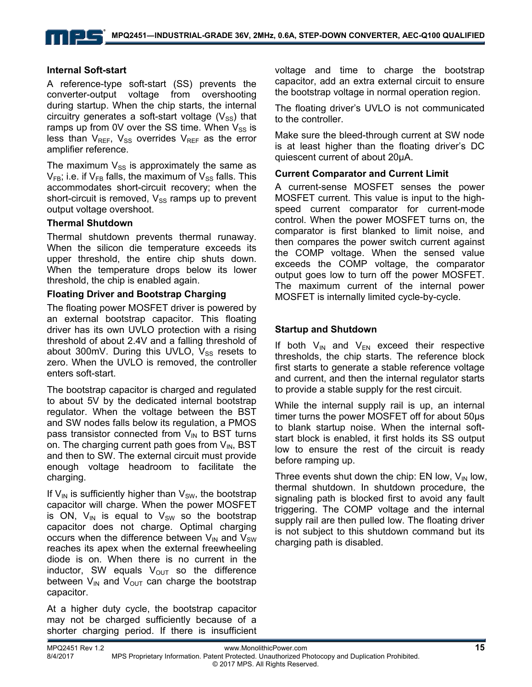#### **Internal Soft-start**

A reference-type soft-start (SS) prevents the converter-output voltage from overshooting during startup. When the chip starts, the internal circuitry generates a soft-start voltage  $(V_{SS})$  that ramps up from 0V over the SS time. When  $V_{SS}$  is less than  $V_{REF}$ ,  $V_{SS}$  overrides  $V_{REF}$  as the error amplifier reference.

The maximum  $V_{SS}$  is approximately the same as  $V_{FB}$ ; i.e. if  $V_{FB}$  falls, the maximum of  $V_{SS}$  falls. This accommodates short-circuit recovery; when the short-circuit is removed,  $V_{SS}$  ramps up to prevent output voltage overshoot.

#### **Thermal Shutdown**

Thermal shutdown prevents thermal runaway. When the silicon die temperature exceeds its upper threshold, the entire chip shuts down. When the temperature drops below its lower threshold, the chip is enabled again.

#### **Floating Driver and Bootstrap Charging**

The floating power MOSFET driver is powered by an external bootstrap capacitor. This floating driver has its own UVLO protection with a rising threshold of about 2.4V and a falling threshold of about 300mV. During this UVLO,  $V_{SS}$  resets to zero. When the UVLO is removed, the controller enters soft-start.

The bootstrap capacitor is charged and regulated to about 5V by the dedicated internal bootstrap regulator. When the voltage between the BST and SW nodes falls below its regulation, a PMOS pass transistor connected from  $V_{IN}$  to BST turns on. The charging current path goes from  $V_{IN}$ , BST and then to SW. The external circuit must provide enough voltage headroom to facilitate the charging.

If  $V_{\text{IN}}$  is sufficiently higher than  $V_{\text{SW}}$ , the bootstrap capacitor will charge. When the power MOSFET is ON,  $V_{\text{IN}}$  is equal to  $V_{\text{SW}}$  so the bootstrap capacitor does not charge. Optimal charging occurs when the difference between  $V_{IN}$  and  $V_{SW}$ reaches its apex when the external freewheeling diode is on. When there is no current in the inductor, SW equals  $V_{\text{OUT}}$  so the difference between  $V_{IN}$  and  $V_{OUT}$  can charge the bootstrap capacitor.

At a higher duty cycle, the bootstrap capacitor may not be charged sufficiently because of a shorter charging period. If there is insufficient voltage and time to charge the bootstrap capacitor, add an extra external circuit to ensure the bootstrap voltage in normal operation region.

The floating driver's UVLO is not communicated to the controller.

Make sure the bleed-through current at SW node is at least higher than the floating driver's DC quiescent current of about 20µA.

#### **Current Comparator and Current Limit**

A current-sense MOSFET senses the power MOSFET current. This value is input to the highspeed current comparator for current-mode control. When the power MOSFET turns on, the comparator is first blanked to limit noise, and then compares the power switch current against the COMP voltage. When the sensed value exceeds the COMP voltage, the comparator output goes low to turn off the power MOSFET. The maximum current of the internal power MOSFET is internally limited cycle-by-cycle.

#### **Startup and Shutdown**

If both  $V_{IN}$  and  $V_{EN}$  exceed their respective thresholds, the chip starts. The reference block first starts to generate a stable reference voltage and current, and then the internal regulator starts to provide a stable supply for the rest circuit.

While the internal supply rail is up, an internal timer turns the power MOSFET off for about 50µs to blank startup noise. When the internal softstart block is enabled, it first holds its SS output low to ensure the rest of the circuit is ready before ramping up.

Three events shut down the chip: EN low,  $V_{IN}$  low, thermal shutdown. In shutdown procedure, the signaling path is blocked first to avoid any fault triggering. The COMP voltage and the internal supply rail are then pulled low. The floating driver is not subject to this shutdown command but its charging path is disabled.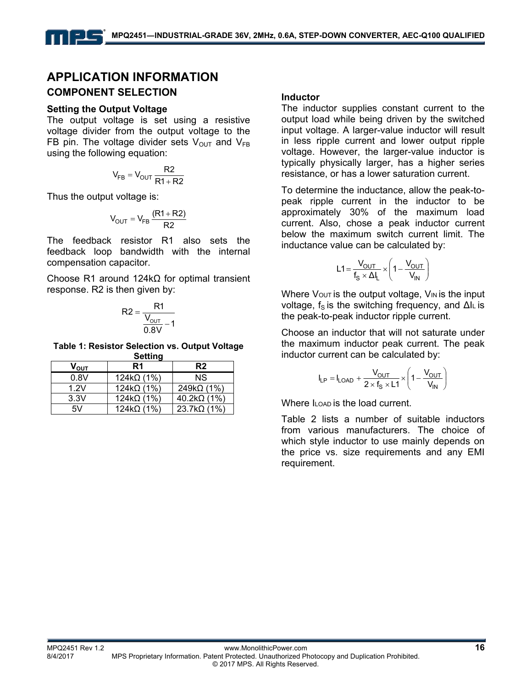### **APPLICATION INFORMATION COMPONENT SELECTION**

#### **Setting the Output Voltage**

The output voltage is set using a resistive voltage divider from the output voltage to the FB pin. The voltage divider sets  $V_{\text{OUT}}$  and  $V_{\text{FB}}$ using the following equation:

$$
V_{FB} = V_{OUT} \frac{R2}{R1 + R2}
$$

Thus the output voltage is:

$$
V_{OUT} = V_{FB} \frac{(R1 + R2)}{R2}
$$

The feedback resistor R1 also sets the feedback loop bandwidth with the internal compensation capacitor.

Choose R1 around 124kΩ for optimal transient response. R2 is then given by:

$$
R2 = \frac{R1}{\frac{V_{\text{OUT}}}{0.8V} - 1}
$$

**Table 1: Resistor Selection vs. Output Voltage Setting** 

| $\mathsf{V}_{\mathsf{OUT}}$ | R1                | R <sub>2</sub>     |
|-----------------------------|-------------------|--------------------|
| 0.8V                        | $124k\Omega(1\%)$ | ΝS                 |
| 1.2V                        | $124k\Omega(1\%)$ | $249k\Omega(1\%)$  |
| 3.3V                        | $124k\Omega(1\%)$ | $40.2k\Omega(1\%)$ |
| 5V                          | $124k\Omega(1\%)$ | $23.7k\Omega(1\%)$ |

#### **Inductor**

The inductor supplies constant current to the output load while being driven by the switched input voltage. A larger-value inductor will result in less ripple current and lower output ripple voltage. However, the larger-value inductor is typically physically larger, has a higher series resistance, or has a lower saturation current.

To determine the inductance, allow the peak-topeak ripple current in the inductor to be approximately 30% of the maximum load current. Also, chose a peak inductor current below the maximum switch current limit. The inductance value can be calculated by:

$$
L1 = \frac{V_{OUT}}{f_S \times \Delta I_L} \times \left(1 - \frac{V_{OUT}}{V_{IN}}\right)
$$

Where  $V_{\text{OUT}}$  is the output voltage,  $V_{\text{IN}}$  is the input voltage, f<sub>S</sub> is the switching frequency, and ∆IL is the peak-to-peak inductor ripple current.

Choose an inductor that will not saturate under the maximum inductor peak current. The peak inductor current can be calculated by:

$$
I_{LP} = I_{LOAD} + \frac{V_{OUT}}{2 \times f_S \times L1} \times \left(1 - \frac{V_{OUT}}{V_{IN}}\right)
$$

Where ILOAD is the load current.

Table 2 lists a number of suitable inductors from various manufacturers. The choice of which style inductor to use mainly depends on the price vs. size requirements and any EMI requirement.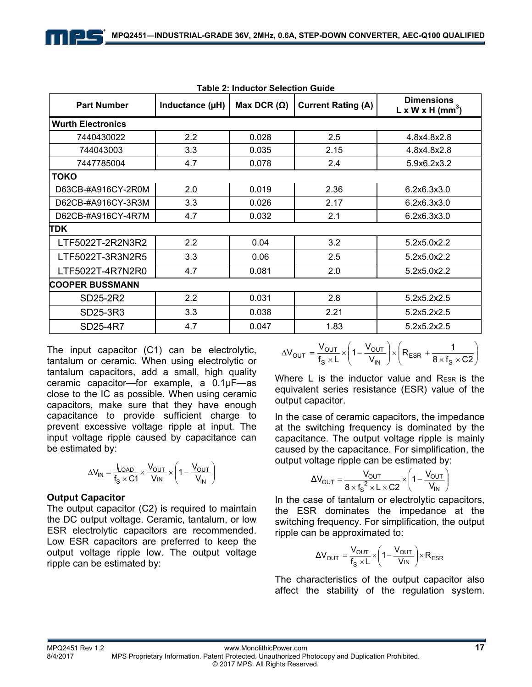| Table 2: Muductor Selection Guide |                 |                    |                           |                                                               |  |  |
|-----------------------------------|-----------------|--------------------|---------------------------|---------------------------------------------------------------|--|--|
| <b>Part Number</b>                | Inductance (µH) | Max DCR $(\Omega)$ | <b>Current Rating (A)</b> | <b>Dimensions</b><br>$L \times W \times H$ (mm <sup>3</sup> ) |  |  |
| <b>Wurth Electronics</b>          |                 |                    |                           |                                                               |  |  |
| 7440430022                        | 2.2             | 0.028              | 2.5                       | 4.8x4.8x2.8                                                   |  |  |
| 744043003                         | 3.3             | 0.035              | 2.15                      | 4.8x4.8x2.8                                                   |  |  |
| 7447785004                        | 4.7             | 0.078              | 2.4                       | 5.9x6.2x3.2                                                   |  |  |
| <b>TOKO</b>                       |                 |                    |                           |                                                               |  |  |
| D63CB-#A916CY-2R0M                | 2.0             | 0.019              | 2.36                      | 6.2x6.3x3.0                                                   |  |  |
| D62CB-#A916CY-3R3M                | 3.3             | 0.026              | 2.17                      | 6.2x6.3x3.0                                                   |  |  |
| D62CB-#A916CY-4R7M                | 4.7             | 0.032              | 2.1                       | 6.2x6.3x3.0                                                   |  |  |
| TDK                               |                 |                    |                           |                                                               |  |  |
| LTF5022T-2R2N3R2                  | 2.2             | 0.04               | 3.2                       | 5.2x5.0x2.2                                                   |  |  |
| LTF5022T-3R3N2R5                  | 3.3             | 0.06               | 2.5                       | 5.2x5.0x2.2                                                   |  |  |
| LTF5022T-4R7N2R0                  | 4.7             | 0.081              | 2.0                       | 5.2x5.0x2.2                                                   |  |  |
| <b>COOPER BUSSMANN</b>            |                 |                    |                           |                                                               |  |  |
| SD25-2R2                          | 2.2             | 0.031              | 2.8                       | 5.2x5.2x2.5                                                   |  |  |
| SD25-3R3                          | 3.3             | 0.038              | 2.21                      | 5.2x5.2x2.5                                                   |  |  |
| SD25-4R7                          | 4.7             | 0.047              | 1.83                      | 5.2x5.2x2.5                                                   |  |  |

| Table 2: Inductor Selection Guide |
|-----------------------------------|
|-----------------------------------|

The input capacitor (C1) can be electrolytic, tantalum or ceramic. When using electrolytic or tantalum capacitors, add a small, high quality ceramic capacitor—for example, a 0.1μF—as close to the IC as possible. When using ceramic capacitors, make sure that they have enough capacitance to provide sufficient charge to prevent excessive voltage ripple at input. The input voltage ripple caused by capacitance can be estimated by:

$$
\Delta V_{IN} = \frac{I_{LOAD}}{f_S \times C1} \times \frac{V_{OUT}}{V_{IN}} \times \left(1 - \frac{V_{OUT}}{V_{IN}}\right)
$$

#### **Output Capacitor**

The output capacitor (C2) is required to maintain the DC output voltage. Ceramic, tantalum, or low ESR electrolytic capacitors are recommended. Low ESR capacitors are preferred to keep the output voltage ripple low. The output voltage ripple can be estimated by:

$$
\Delta V_{OUT} = \frac{V_{OUT}}{f_S \times L} \times \left(1 - \frac{V_{OUT}}{V_{IN}}\right) \times \left(R_{ESR} + \frac{1}{8 \times f_S \times C2}\right)
$$

Where L is the inductor value and RESR is the equivalent series resistance (ESR) value of the output capacitor.

In the case of ceramic capacitors, the impedance at the switching frequency is dominated by the capacitance. The output voltage ripple is mainly caused by the capacitance. For simplification, the output voltage ripple can be estimated by:

$$
\Delta V_{\text{OUT}} = \frac{V_{\text{OUT}}}{8 \times f_{\text{S}}^2 \times L \times C2} \times \left(1 - \frac{V_{\text{OUT}}}{V_{\text{IN}}}\right)
$$

In the case of tantalum or electrolytic capacitors, the ESR dominates the impedance at the switching frequency. For simplification, the output ripple can be approximated to:

$$
\Delta V_{OUT} = \frac{V_{OUT}}{f_S \times L} \times \left(1 - \frac{V_{OUT}}{V_{IN}}\right) \times R_{ESR}
$$

The characteristics of the output capacitor also affect the stability of the regulation system.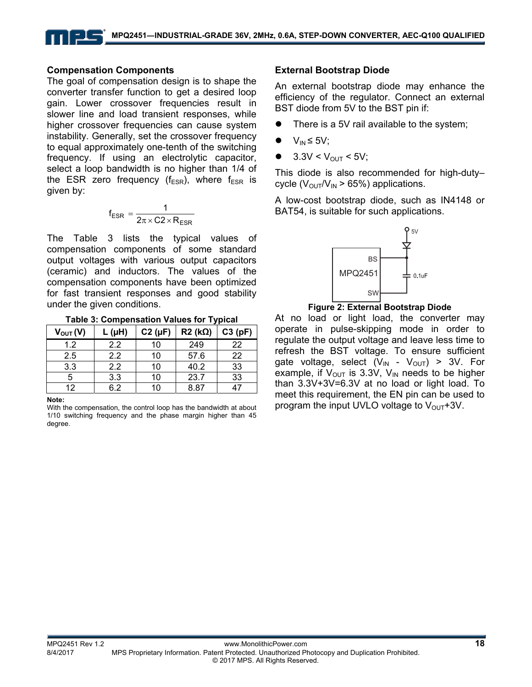#### **Compensation Components**

The goal of compensation design is to shape the converter transfer function to get a desired loop gain. Lower crossover frequencies result in slower line and load transient responses, while higher crossover frequencies can cause system instability. Generally, set the crossover frequency to equal approximately one-tenth of the switching frequency. If using an electrolytic capacitor, select a loop bandwidth is no higher than 1/4 of the ESR zero frequency ( $f_{ESR}$ ), where  $f_{ESR}$  is given by:

$$
f_{ESR} = \frac{1}{2\pi \times C2 \times R_{ESR}}
$$

The Table 3 lists the typical values of compensation components of some standard output voltages with various output capacitors (ceramic) and inductors. The values of the compensation components have been optimized for fast transient responses and good stability under the given conditions.

**Table 3: Compensation Values for Typical** 

| $V_{\text{OUT}}(V)$ | $L(\mu H)$ | $C2(\mu F)$ | $R2$ (k $\Omega$ ) | C3(pF) |
|---------------------|------------|-------------|--------------------|--------|
| 1.2                 | 2.2        | 10          | 249                | 22     |
| 2.5                 | 2.2        | 10          | 57.6               | 22     |
| 3.3                 | 2.2        | 10          | 40.2               | 33     |
| 5                   | 3.3        | 10          | 23.7               | 33     |
| 12                  | 6.2        | 10          | 8.87               |        |

#### **Note:**

With the compensation, the control loop has the bandwidth at about 1/10 switching frequency and the phase margin higher than 45 degree.

#### **External Bootstrap Diode**

An external bootstrap diode may enhance the efficiency of the regulator. Connect an external BST diode from 5V to the BST pin if:

- There is a 5V rail available to the system;
- $V_{IN} \leq 5V$ ;
- $\bullet$  3.3V < V<sub>OUT</sub> < 5V;

This diode is also recommended for high-duty– cycle ( $V_{\text{OUT}}/V_{\text{IN}} > 65\%$ ) applications.

A low-cost bootstrap diode, such as IN4148 or BAT54, is suitable for such applications.



#### **Figure 2: External Bootstrap Diode**

At no load or light load, the converter may operate in pulse-skipping mode in order to regulate the output voltage and leave less time to refresh the BST voltage. To ensure sufficient gate voltage, select  $(V_{IN} - V_{OUT}) > 3V$ . For example, if  $V_{\text{OUT}}$  is 3.3V,  $V_{\text{IN}}$  needs to be higher than 3.3V+3V=6.3V at no load or light load. To meet this requirement, the EN pin can be used to program the input UVLO voltage to  $V_{\text{OUT}}$ +3V.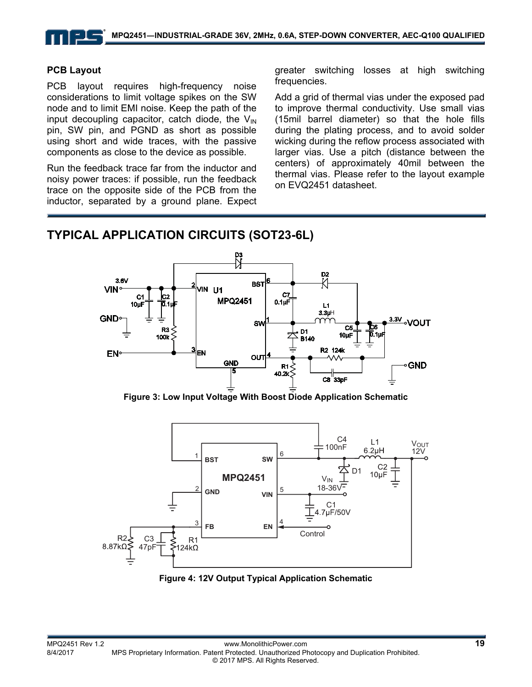#### **PCB Layout**

PCB layout requires high-frequency noise considerations to limit voltage spikes on the SW node and to limit EMI noise. Keep the path of the input decoupling capacitor, catch diode, the  $V_{\text{IN}}$ pin, SW pin, and PGND as short as possible using short and wide traces, with the passive components as close to the device as possible.

Run the feedback trace far from the inductor and noisy power traces: if possible, run the feedback trace on the opposite side of the PCB from the inductor, separated by a ground plane. Expect greater switching losses at high switching frequencies.

Add a grid of thermal vias under the exposed pad to improve thermal conductivity. Use small vias (15mil barrel diameter) so that the hole fills during the plating process, and to avoid solder wicking during the reflow process associated with larger vias. Use a pitch (distance between the centers) of approximately 40mil between the thermal vias. Please refer to the layout example on EVQ2451 datasheet.

### **TYPICAL APPLICATION CIRCUITS (SOT23-6L)**



**Figure 3: Low Input Voltage With Boost Diode Application Schematic** 



**Figure 4: 12V Output Typical Application Schematic**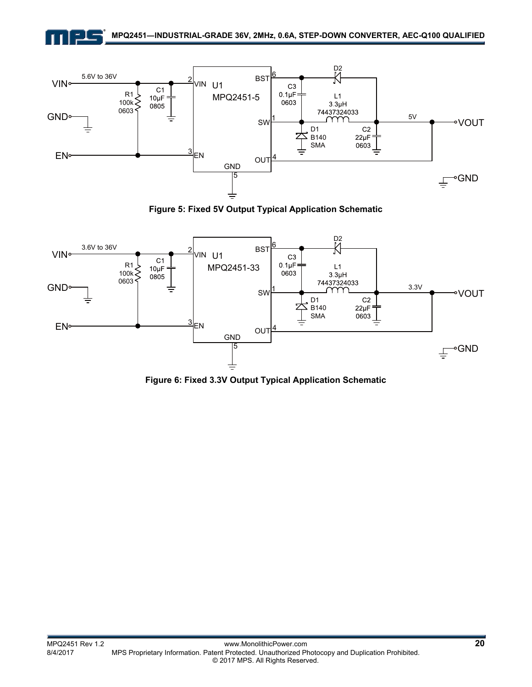



**Figure 5: Fixed 5V Output Typical Application Schematic** 



**Figure 6: Fixed 3.3V Output Typical Application Schematic**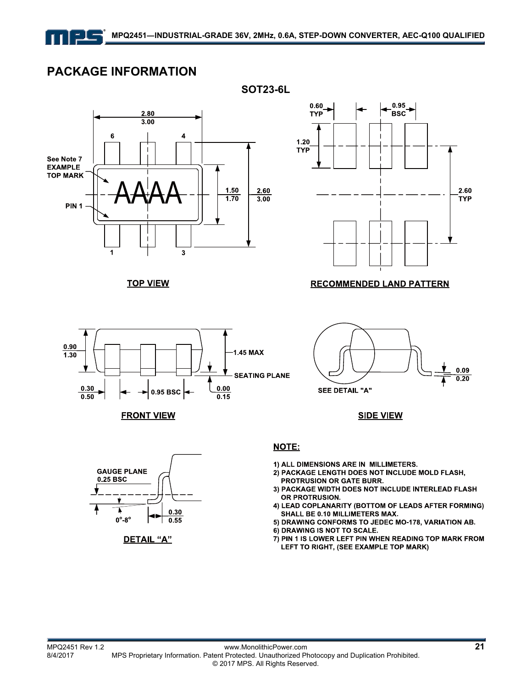

 $0.90$ 

 $1.30$ 

 $0.30$ 

 $0.50$ 

### **PACKAGE INFORMATION**



**TOP VIEW** 

 $0.95$  BSC  $\sim$ 





**SEE DETAIL "A"** 

**SIDE VIEW** 



**FRONT VIEW** 

#### **NOTE:**

1.45 MAX

 $0.00$ 

 $0.15$ 

**SEATING PLANE** 

- 1) ALL DIMENSIONS ARE IN MILLIMETERS.
- 2) PACKAGE LENGTH DOES NOT INCLUDE MOLD FLASH, PROTRUSION OR GATE BURR.
- 3) PACKAGE WIDTH DOES NOT INCLUDE INTERLEAD FLASH OR PROTRUSION.
- 4) LEAD COPLANARITY (BOTTOM OF LEADS AFTER FORMING) SHALL BE 0.10 MILLIMETERS MAX.
- 5) DRAWING CONFORMS TO JEDEC MO-178, VARIATION AB.
- 6) DRAWING IS NOT TO SCALE.
- 7) PIN 1 IS LOWER LEFT PIN WHEN READING TOP MARK FROM LEFT TO RIGHT, (SEE EXAMPLE TOP MARK)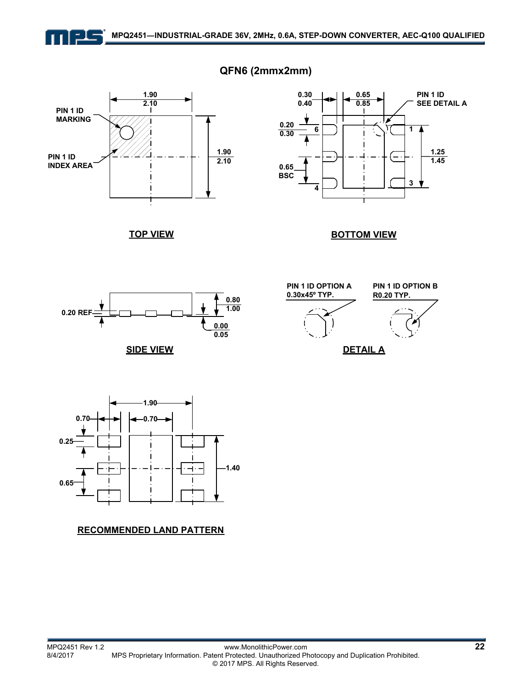

### **QFN6 (2mmx2mm)**



**0.30 0.65 PIN 1 ID 0.40 0.85 SEE DETAIL A 0.20 6 1 0.30** Δ **1.25 1.45 0.65 BSC <sup>4</sup> <sup>3</sup>**

**TOP VIEW**

**BOTTOM VIEW**



**SIDE VIEW**





#### **RECOMMENDED LAND PATTERN**